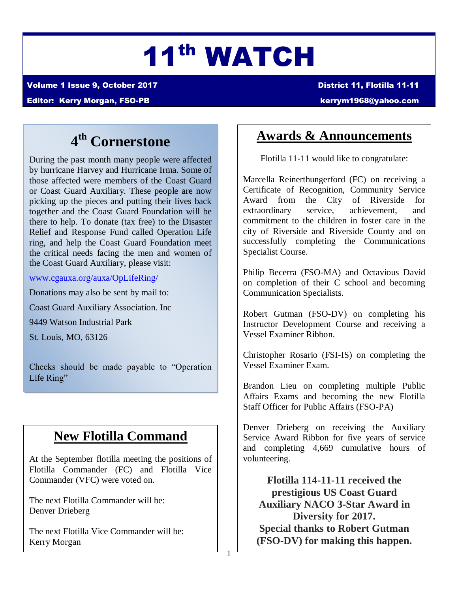# 11th WATCH

Volume 1 Issue 9, October 2017 District 11, Flotilla 11-11

Editor: Kerry Morgan, FSO-PB [kerrym1968@yahoo.com](mailto:kerrym1968@yahoo.com)

## **4 th Cornerstone**

During the past month many people were affected by hurricane Harvey and Hurricane Irma. Some of those affected were members of the Coast Guard or Coast Guard Auxiliary. These people are now picking up the pieces and putting their lives back together and the Coast Guard Foundation will be there to help. To donate (tax free) to the Disaster Relief and Response Fund called Operation Life ring, and help the Coast Guard Foundation meet the critical needs facing the men and women of the Coast Guard Auxiliary, please visit:

[www.cgauxa.org/auxa/OpLifeRing/](http://www.cgauxa.org/auxa/OpLifeRing/)

Donations may also be sent by mail to:

Coast Guard Auxiliary Association. Inc

9449 Watson Industrial Park

St. Louis, MO, 63126

ׇ֘֒

Checks should be made payable to "Operation Life Ring"

### **New Flotilla Command**

At the September flotilla meeting the positions of Flotilla Commander (FC) and Flotilla Vice Commander (VFC) were voted on.

The next Flotilla Commander will be: Denver Drieberg

The next Flotilla Vice Commander will be: Kerry Morgan

### **Awards & Announcements**

Flotilla 11-11 would like to congratulate:

Marcella Reinerthungerford (FC) on receiving a Certificate of Recognition, Community Service Award from the City of Riverside for extraordinary service, achievement, and commitment to the children in foster care in the city of Riverside and Riverside County and on successfully completing the Communications Specialist Course.

Philip Becerra (FSO-MA) and Octavious David on completion of their C school and becoming Communication Specialists.

Robert Gutman (FSO-DV) on completing his Instructor Development Course and receiving a Vessel Examiner Ribbon.

Christopher Rosario (FSI-IS) on completing the Vessel Examiner Exam.

 Brandon Lieu on completing multiple Public Affairs Exams and becoming the new Flotilla Staff Officer for Public Affairs (FSO-PA)

 and completing 4,669 cumulative hours of Denver Drieberg on receiving the Auxiliary Service Award Ribbon for five years of service volunteering.

**Flotilla 114-11-11 received the prestigious US Coast Guard Auxiliary NACO 3-Star Award in Diversity for 2017. Special thanks to Robert Gutman (FSO-DV) for making this happen.**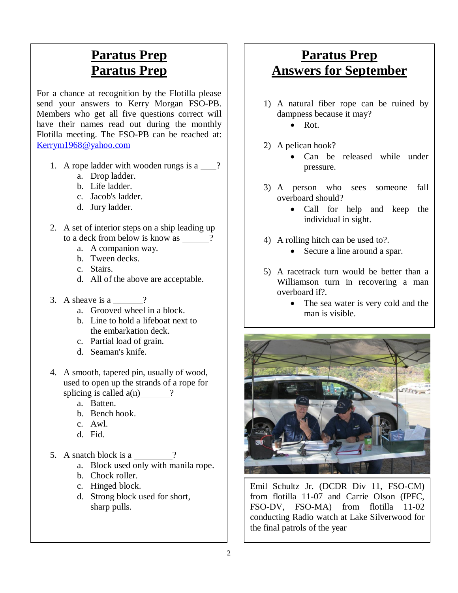### **Paratus Prep Paratus Prep**

For a chance at recognition by the Flotilla please send your answers to Kerry Morgan FSO-PB. Members who get all five questions correct will have their names read out during the monthly Flotilla meeting. The FSO-PB can be reached at: [Kerrym1968@yahoo.com](mailto:Kerrym1968@yahoo.com)

- 1. A rope ladder with wooden rungs is a  $\qquad$ ?
	- a. Drop ladder.
	- b. Life ladder.
	- c. Jacob's ladder.
	- d. Jury ladder.
- 2. A set of interior steps on a ship leading up to a deck from below is know as  $\frac{?}{?}$ 
	- a. A companion way.
	- b. Tween decks.
	- c. Stairs.
	- d. All of the above are acceptable.
- 3. A sheave is a ?
	- a. Grooved wheel in a block.
	- b. Line to hold a lifeboat next to the embarkation deck.
	- c. Partial load of grain.
	- d. Seaman's knife.
- 4. A smooth, tapered pin, usually of wood, used to open up the strands of a rope for splicing is called  $a(n)$  ?
	- a. Batten.
	- b. Bench hook.
	- c. Awl.
	- d. Fid.
- 5. A snatch block is a  $\frac{ }{ }$ 
	- a. Block used only with manila rope.
	- b. Chock roller.
	- c. Hinged block.
	- d. Strong block used for short, sharp pulls.

### **Paratus Prep Answers for September**

- 1) A natural fiber rope can be ruined by dampness because it may?
	- $\bullet$  Rot.
- 2) A pelican hook?
	- Can be released while under pressure.
- 3) A person who sees someone fall overboard should?
	- Call for help and keep the individual in sight.
- 4) A rolling hitch can be used to?.
	- Secure a line around a spar.
- 5) A racetrack turn would be better than a Williamson turn in recovering a man overboard if?.
	- The sea water is very cold and the man is visible.



Emil Schultz Jr. (DCDR Div 11, FSO-CM) from flotilla 11-07 and Carrie Olson (IPFC, FSO-DV, FSO-MA) from flotilla 11-02 conducting Radio watch at Lake Silverwood for the final patrols of the year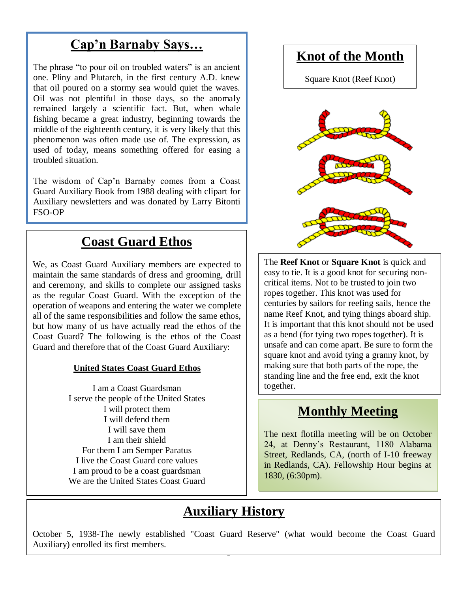### **Cap'n Barnaby Says…**

The phrase "to pour oil on troubled waters" is an ancient one. Pliny and Plutarch, in the first century A.D. knew that oil poured on a stormy sea would quiet the waves. Oil was not plentiful in those days, so the anomaly remained largely a scientific fact. But, when whale fishing became a great industry, beginning towards the middle of the eighteenth century, it is very likely that this phenomenon was often made use of. The expression, as used of today, means something offered for easing a troubled situation.

The wisdom of Cap'n Barnaby comes from a Coast Guard Auxiliary Book from 1988 dealing with clipart for Auxiliary newsletters and was donated by Larry Bitonti FSO-OP

### **Coast Guard Ethos**

We, as Coast Guard Auxiliary members are expected to maintain the same standards of dress and grooming, drill and ceremony, and skills to complete our assigned tasks as the regular Coast Guard. With the exception of the operation of weapons and entering the water we complete all of the same responsibilities and follow the same ethos, but how many of us have actually read the ethos of the Coast Guard? The following is the ethos of the Coast Guard and therefore that of the Coast Guard Auxiliary:

#### **United States Coast Guard Ethos**

I am a Coast Guardsman I serve the people of the United States I will protect them I will defend them I will save them I am their shield For them I am Semper Paratus I live the Coast Guard core values I am proud to be a coast guardsman We are the United States Coast Guard

### **Knot of the Month**

Square Knot (Reef Knot)



The **Reef Knot** or **Square Knot** is quick and easy to tie. It is a good knot for securing noncritical items. Not to be trusted to join two ropes together. This knot was used for centuries by sailors for reefing sails, hence the name Reef Knot, and tying things aboard ship. It is important that this knot should not be used as a bend (for tying two ropes together). It is unsafe and can come apart. Be sure to form the square knot and avoid tying a granny knot, by making sure that both parts of the rope, the standing line and the free end, exit the knot together.

### **Monthly Meeting**

The next flotilla meeting will be on October 24, at Denny's Restaurant, 1180 Alabama Street, Redlands, CA, (north of I-10 freeway in Redlands, CA). Fellowship Hour begins at 1830, (6:30pm).

### **Auxiliary History**

October 5, 1938-The newly established "Coast Guard Reserve" (what would become the Coast Guard Auxiliary) enrolled its first members.

3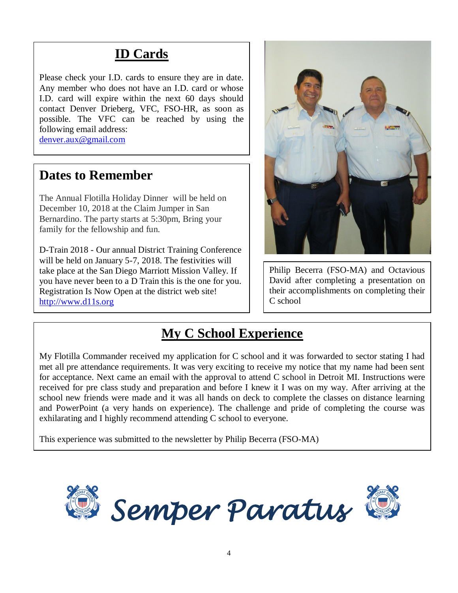### **ID Cards**

Please check your I.D. cards to ensure they are in date. Any member who does not have an I.D. card or whose I.D. card will expire within the next 60 days should contact Denver Drieberg, VFC, FSO-HR, as soon as possible. The VFC can be reached by using the following email address: [denver.aux@gmail.com](mailto:denver.aux@gmail.com)

### **Dates to Remember**

The Annual Flotilla Holiday Dinner will be held on December 10, 2018 at the Claim Jumper in San Bernardino. The party starts at 5:30pm, Bring your family for the fellowship and fun.

D-Train 2018 - Our annual District Training Conference will be held on January 5-7, 2018. The festivities will take place at the San Diego Marriott Mission Valley. If you have never been to a D Train this is the one for you. Registration Is Now Open at the district web site! [http://www.d11s.org](http://www.d11s.org/)



Philip Becerra (FSO-MA) and Octavious David after completing a presentation on their accomplishments on completing their C school

### **My C School Experience**

My Flotilla Commander received my application for C school and it was forwarded to sector stating I had met all pre attendance requirements. It was very exciting to receive my notice that my name had been sent for acceptance. Next came an email with the approval to attend C school in Detroit MI. Instructions were received for pre class study and preparation and before I knew it I was on my way. After arriving at the school new friends were made and it was all hands on deck to complete the classes on distance learning and PowerPoint (a very hands on experience). The challenge and pride of completing the course was exhilarating and I highly recommend attending C school to everyone.

This experience was submitted to the newsletter by Philip Becerra (FSO-MA)